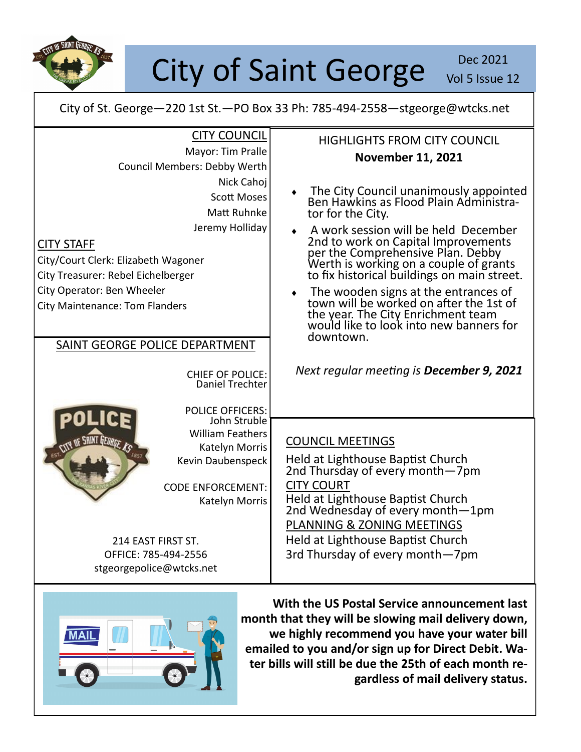

City of Saint George Vol 5 Issue 2

Vol 5 Issue 12

City of St. George—220 1st St.—PO Box 33 Ph: 785-494-2558—stgeorge@wtcks.net

| <b>CITY COUNCIL</b>                                | <b>HIGHLIGHTS FROM CITY COUNCIL</b>                                              |
|----------------------------------------------------|----------------------------------------------------------------------------------|
| Mayor: Tim Pralle                                  | <b>November 11, 2021</b>                                                         |
| Council Members: Debby Werth                       |                                                                                  |
| Nick Cahoj                                         |                                                                                  |
| <b>Scott Moses</b>                                 | The City Council unanimously appointed<br>Ben Hawkins as Flood Plain Administra- |
| Matt Ruhnke                                        | tor for the City.                                                                |
| Jeremy Holliday                                    | A work session will be held December                                             |
| <b>CITY STAFF</b>                                  | 2nd to work on Capital Improvements<br>per the Comprehensive Plan. Debby         |
| City/Court Clerk: Elizabeth Wagoner                | Werth is working on a couple of grants                                           |
| City Treasurer: Rebel Eichelberger                 | to fix historical buildings on main street.                                      |
| City Operator: Ben Wheeler                         | The wooden signs at the entrances of<br>town will be worked on after the 1st of  |
| <b>City Maintenance: Tom Flanders</b>              |                                                                                  |
|                                                    | the year. The City Enrichment team<br>would like to look into new banners for    |
| SAINT GEORGE POLICE DEPARTMENT                     | downtown.                                                                        |
|                                                    |                                                                                  |
| <b>CHIEF OF POLICE:</b>                            | Next regular meeting is December 9, 2021                                         |
| Daniel Trechter                                    |                                                                                  |
| <b>POLICE OFFICERS:</b>                            |                                                                                  |
| John Struble                                       |                                                                                  |
| <b>William Feathers</b>                            | <b>COUNCIL MEETINGS</b>                                                          |
| <b>CITY OF SAINT LIEORGE, AS</b><br>Katelyn Morris |                                                                                  |
| Kevin Daubenspeck                                  | Held at Lighthouse Baptist Church<br>2nd Thursday of every month–7pm             |
| <b>CODE ENFORCEMENT:</b>                           | <b>CITY COURT</b>                                                                |
| Katelyn Morris                                     |                                                                                  |
|                                                    | Held at Lighthouse Baptist Church<br>2nd Wednesday of every month-1pm            |
|                                                    | PLANNING & ZONING MEETINGS                                                       |
| 214 EAST FIRST ST.                                 | Held at Lighthouse Baptist Church                                                |
| OFFICE: 785-494-2556                               | 3rd Thursday of every month-7pm                                                  |
| stgeorgepolice@wtcks.net                           |                                                                                  |



**With the US Postal Service announcement last month that they will be slowing mail delivery down, we highly recommend you have your water bill emailed to you and/or sign up for Direct Debit. Water bills will still be due the 25th of each month regardless of mail delivery status.**